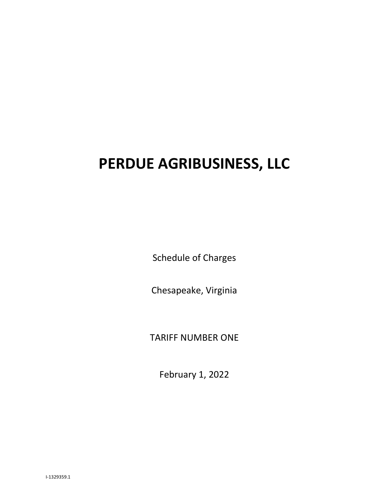# **PERDUE AGRIBUSINESS, LLC**

Schedule of Charges

Chesapeake, Virginia

TARIFF NUMBER ONE

February 1, 2022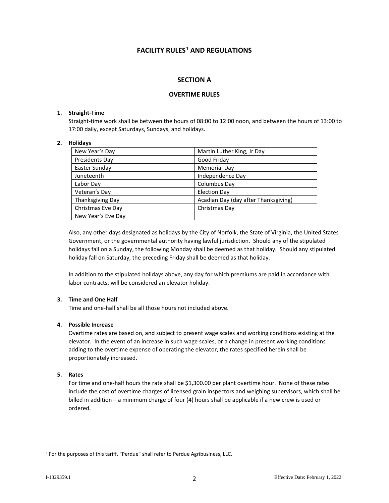# **FACILITY RULES[1](#page-1-0) AND REGULATIONS**

# **SECTION A**

# **OVERTIME RULES**

#### **1. Straight-Time**

Straight-time work shall be between the hours of 08:00 to 12:00 noon, and between the hours of 13:00 to 17:00 daily, except Saturdays, Sundays, and holidays.

#### **2. Holidays**

| New Year's Day     | Martin Luther King, Jr Day           |
|--------------------|--------------------------------------|
| Presidents Day     | Good Friday                          |
| Easter Sunday      | Memorial Day                         |
| Juneteenth         | Independence Day                     |
| Labor Day          | Columbus Day                         |
| Veteran's Day      | <b>Election Day</b>                  |
| Thanksgiving Day   | Acadian Day (day after Thanksgiving) |
| Christmas Eve Day  | Christmas Day                        |
| New Year's Eve Day |                                      |

Also, any other days designated as holidays by the City of Norfolk, the State of Virginia, the United States Government, or the governmental authority having lawful jurisdiction. Should any of the stipulated holidays fall on a Sunday, the following Monday shall be deemed as that holiday. Should any stipulated holiday fall on Saturday, the preceding Friday shall be deemed as that holiday.

In addition to the stipulated holidays above, any day for which premiums are paid in accordance with labor contracts, will be considered an elevator holiday.

## **3. Time and One Half**

Time and one-half shall be all those hours not included above.

# **4. Possible Increase**

Overtime rates are based on, and subject to present wage scales and working conditions existing at the elevator. In the event of an increase in such wage scales, or a change in present working conditions adding to the overtime expense of operating the elevator, the rates specified herein shall be proportionately increased.

#### **5. Rates**

For time and one-half hours the rate shall be \$1,300.00 per plant overtime hour. None of these rates include the cost of overtime charges of licensed grain inspectors and weighing supervisors, which shall be billed in addition – a minimum charge of four (4) hours shall be applicable if a new crew is used or ordered.

<span id="page-1-0"></span><sup>&</sup>lt;sup>1</sup> For the purposes of this tariff, "Perdue" shall refer to Perdue Agribusiness, LLC.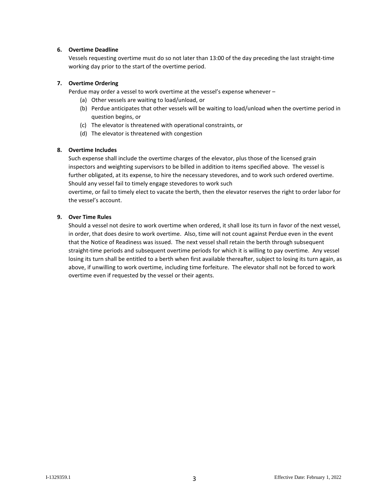## **6. Overtime Deadline**

Vessels requesting overtime must do so not later than 13:00 of the day preceding the last straight-time working day prior to the start of the overtime period.

#### **7. Overtime Ordering**

Perdue may order a vessel to work overtime at the vessel's expense whenever –

- (a) Other vessels are waiting to load/unload, or
- (b) Perdue anticipates that other vessels will be waiting to load/unload when the overtime period in question begins, or
- (c) The elevator is threatened with operational constraints, or
- (d) The elevator is threatened with congestion

#### **8. Overtime Includes**

Such expense shall include the overtime charges of the elevator, plus those of the licensed grain inspectors and weighting supervisors to be billed in addition to items specified above. The vessel is further obligated, at its expense, to hire the necessary stevedores, and to work such ordered overtime. Should any vessel fail to timely engage stevedores to work such

overtime, or fail to timely elect to vacate the berth, then the elevator reserves the right to order labor for the vessel's account.

#### **9. Over Time Rules**

Should a vessel not desire to work overtime when ordered, it shall lose its turn in favor of the next vessel, in order, that does desire to work overtime. Also, time will not count against Perdue even in the event that the Notice of Readiness was issued. The next vessel shall retain the berth through subsequent straight-time periods and subsequent overtime periods for which it is willing to pay overtime. Any vessel losing its turn shall be entitled to a berth when first available thereafter, subject to losing its turn again, as above, if unwilling to work overtime, including time forfeiture. The elevator shall not be forced to work overtime even if requested by the vessel or their agents.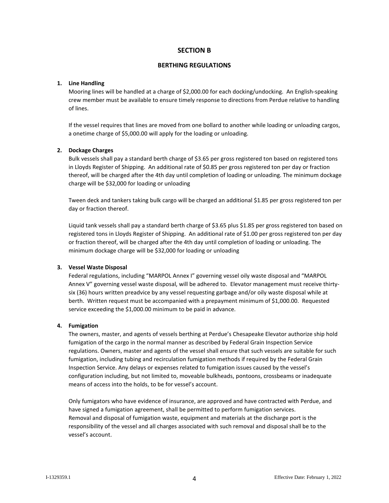# **SECTION B**

#### **BERTHING REGULATIONS**

## **1. Line Handling**

Mooring lines will be handled at a charge of \$2,000.00 for each docking/undocking. An English-speaking crew member must be available to ensure timely response to directions from Perdue relative to handling of lines.

If the vessel requires that lines are moved from one bollard to another while loading or unloading cargos, a onetime charge of \$5,000.00 will apply for the loading or unloading.

## **2. Dockage Charges**

Bulk vessels shall pay a standard berth charge of \$3.65 per gross registered ton based on registered tons in Lloyds Register of Shipping. An additional rate of \$0.85 per gross registered ton per day or fraction thereof, will be charged after the 4th day until completion of loading or unloading. The minimum dockage charge will be \$32,000 for loading or unloading

Tween deck and tankers taking bulk cargo will be charged an additional \$1.85 per gross registered ton per day or fraction thereof.

Liquid tank vessels shall pay a standard berth charge of \$3.65 plus \$1.85 per gross registered ton based on registered tons in Lloyds Register of Shipping. An additional rate of \$1.00 per gross registered ton per day or fraction thereof, will be charged after the 4th day until completion of loading or unloading. The minimum dockage charge will be \$32,000 for loading or unloading

## **3. Vessel Waste Disposal**

Federal regulations, including "MARPOL Annex I" governing vessel oily waste disposal and "MARPOL Annex V" governing vessel waste disposal, will be adhered to. Elevator management must receive thirtysix (36) hours written preadvice by any vessel requesting garbage and/or oily waste disposal while at berth. Written request must be accompanied with a prepayment minimum of \$1,000.00. Requested service exceeding the \$1,000.00 minimum to be paid in advance.

## **4. Fumigation**

The owners, master, and agents of vessels berthing at Perdue's Chesapeake Elevator authorize ship hold fumigation of the cargo in the normal manner as described by Federal Grain Inspection Service regulations. Owners, master and agents of the vessel shall ensure that such vessels are suitable for such fumigation, including tubing and recirculation fumigation methods if required by the Federal Grain Inspection Service. Any delays or expenses related to fumigation issues caused by the vessel's configuration including, but not limited to, moveable bulkheads, pontoons, crossbeams or inadequate means of access into the holds, to be for vessel's account.

Only fumigators who have evidence of insurance, are approved and have contracted with Perdue, and have signed a fumigation agreement, shall be permitted to perform fumigation services. Removal and disposal of fumigation waste, equipment and materials at the discharge port is the responsibility of the vessel and all charges associated with such removal and disposal shall be to the vessel's account.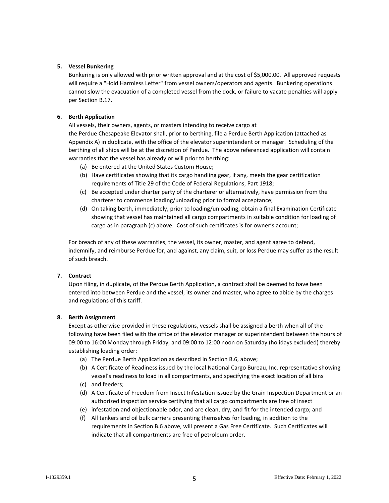## **5. Vessel Bunkering**

Bunkering is only allowed with prior written approval and at the cost of \$5,000.00. All approved requests will require a "Hold Harmless Letter" from vessel owners/operators and agents. Bunkering operations cannot slow the evacuation of a completed vessel from the dock, or failure to vacate penalties will apply per Section B.17.

## **6. Berth Application**

All vessels, their owners, agents, or masters intending to receive cargo at

the Perdue Chesapeake Elevator shall, prior to berthing, file a Perdue Berth Application (attached as Appendix A) in duplicate, with the office of the elevator superintendent or manager. Scheduling of the berthing of all ships will be at the discretion of Perdue. The above referenced application will contain warranties that the vessel has already or will prior to berthing:

- (a) Be entered at the United States Custom House;
- (b) Have certificates showing that its cargo handling gear, if any, meets the gear certification requirements of Title 29 of the Code of Federal Regulations, Part 1918;
- (c) Be accepted under charter party of the charterer or alternatively, have permission from the charterer to commence loading/unloading prior to formal acceptance;
- (d) On taking berth, immediately, prior to loading/unloading, obtain a final Examination Certificate showing that vessel has maintained all cargo compartments in suitable condition for loading of cargo as in paragraph (c) above. Cost of such certificates is for owner's account;

For breach of any of these warranties, the vessel, its owner, master, and agent agree to defend, indemnify, and reimburse Perdue for, and against, any claim, suit, or loss Perdue may suffer as the result of such breach.

## **7. Contract**

Upon filing, in duplicate, of the Perdue Berth Application, a contract shall be deemed to have been entered into between Perdue and the vessel, its owner and master, who agree to abide by the charges and regulations of this tariff.

## **8. Berth Assignment**

Except as otherwise provided in these regulations, vessels shall be assigned a berth when all of the following have been filed with the office of the elevator manager or superintendent between the hours of 09:00 to 16:00 Monday through Friday, and 09:00 to 12:00 noon on Saturday (holidays excluded) thereby establishing loading order:

- (a) The Perdue Berth Application as described in Section B.6, above;
- (b) A Certificate of Readiness issued by the local National Cargo Bureau, Inc. representative showing vessel's readiness to load in all compartments, and specifying the exact location of all bins
- (c) and feeders;
- (d) A Certificate of Freedom from Insect Infestation issued by the Grain Inspection Department or an authorized inspection service certifying that all cargo compartments are free of insect
- (e) infestation and objectionable odor, and are clean, dry, and fit for the intended cargo; and
- (f) All tankers and oil bulk carriers presenting themselves for loading, in addition to the requirements in Section B.6 above, will present a Gas Free Certificate. Such Certificates will indicate that all compartments are free of petroleum order.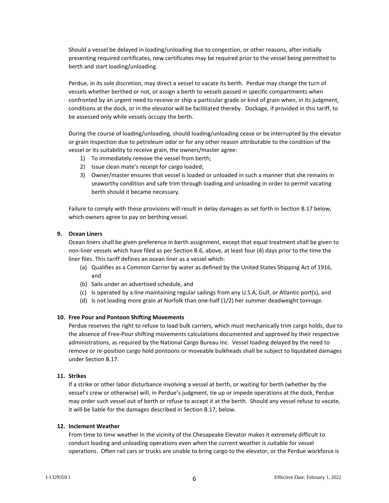Should a vessel be delayed in loading/unloading due to congestion, or other reasons, after initially presenting required certificates, new certificates may be required prior to the vessel being permitted to berth and start loading/unloading.

Perdue, in its sole discretion, may direct a vessel to vacate its berth. Perdue may change the turn of vessels whether berthed or not, or assign a berth to vessels passed in specific compartments when confronted by an urgent need to receive or ship a particular grade or kind of grain when, in its judgment, conditions at the dock, or in the elevator will be facilitated thereby. Dockage, if provided in this tariff, to be assessed only while vessels occupy the berth.

During the course of loading/unloading, should loading/unloading cease or be interrupted by the elevator or grain inspection due to petroleum odor or for any other reason attributable to the condition of the vessel or its suitability to receive grain, the owners/master agree:

- 1) To immediately remove the vessel from berth;
- 2) Issue clean mate's receipt for cargo loaded;
- 3) Owner/master ensures that vessel is loaded or unloaded in such a manner that she remains in seaworthy condition and safe trim through loading and unloading in order to permit vacating berth should it became necessary.

Failure to comply with these provisions will result in delay damages as set forth in Section B.17 below, which owners agree to pay on berthing vessel.

## **9. Ocean Liners**

Ocean liners shall be given preference in berth assignment, except that equal treatment shall be given to non-liner vessels which have filed as per Section B.6, above, at least four (4) days prior to the time the liner files. This tariff defines an ocean liner as a vessel which:

- (a) Qualifies as a Common Carrier by water as defined by the United States Shipping Act of 1916, and
- (b) Sails under an advertised schedule, and
- (c) Is operated by a line maintaining regular sailings from any U.S.A, Gulf, or Atlantic port(s), and
- (d) Is not loading more grain at Norfolk than one-half (1/2) her summer deadweight tonnage.

## **10. Free Pour and Pontoon Shifting Movements**

Perdue reserves the right to refuse to load bulk carriers, which must mechanically trim cargo holds, due to the absence of Free-Pour shifting movements calculations documented and approved by their respective administrations, as required by the National Cargo Bureau Inc. Vessel loading delayed by the need to remove or re-position cargo hold pontoons or moveable bulkheads shall be subject to liquidated damages under Section B.17.

# **11. Strikes**

If a strike or other labor disturbance involving a vessel at berth, or waiting for berth (whether by the vessel's crew or otherwise) will, in Perdue's judgment, tie up or impede operations at the dock, Perdue may order such vessel out of berth or refuse to accept it at the berth. Should any vessel refuse to vacate, it will be liable for the damages described in Section B.17, below.

## **12. Inclement Weather**

From time to time weather in the vicinity of the Chesapeake Elevator makes it extremely difficult to conduct loading and unloading operations even when the current weather is suitable for vessel operations. Often rail cars or trucks are unable to bring cargo to the elevator, or the Perdue workforce is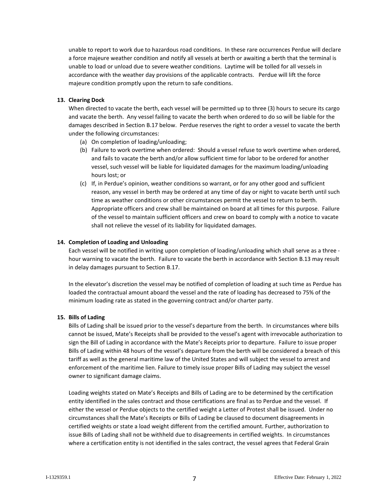unable to report to work due to hazardous road conditions. In these rare occurrences Perdue will declare a force majeure weather condition and notify all vessels at berth or awaiting a berth that the terminal is unable to load or unload due to severe weather conditions. Laytime will be tolled for all vessels in accordance with the weather day provisions of the applicable contracts. Perdue will lift the force majeure condition promptly upon the return to safe conditions.

## **13. Clearing Dock**

When directed to vacate the berth, each vessel will be permitted up to three (3) hours to secure its cargo and vacate the berth. Any vessel failing to vacate the berth when ordered to do so will be liable for the damages described in Section B.17 below. Perdue reserves the right to order a vessel to vacate the berth under the following circumstances:

- (a) On completion of loading/unloading;
- (b) Failure to work overtime when ordered: Should a vessel refuse to work overtime when ordered, and fails to vacate the berth and/or allow sufficient time for labor to be ordered for another vessel, such vessel will be liable for liquidated damages for the maximum loading/unloading hours lost; or
- (c) If, in Perdue's opinion, weather conditions so warrant, or for any other good and sufficient reason, any vessel in berth may be ordered at any time of day or night to vacate berth until such time as weather conditions or other circumstances permit the vessel to return to berth. Appropriate officers and crew shall be maintained on board at all times for this purpose. Failure of the vessel to maintain sufficient officers and crew on board to comply with a notice to vacate shall not relieve the vessel of its liability for liquidated damages.

#### **14. Completion of Loading and Unloading**

Each vessel will be notified in writing upon completion of loading/unloading which shall serve as a three hour warning to vacate the berth. Failure to vacate the berth in accordance with Section B.13 may result in delay damages pursuant to Section B.17.

In the elevator's discretion the vessel may be notified of completion of loading at such time as Perdue has loaded the contractual amount aboard the vessel and the rate of loading has decreased to 75% of the minimum loading rate as stated in the governing contract and/or charter party.

## **15. Bills of Lading**

Bills of Lading shall be issued prior to the vessel's departure from the berth. In circumstances where bills cannot be issued, Mate's Receipts shall be provided to the vessel's agent with irrevocable authorization to sign the Bill of Lading in accordance with the Mate's Receipts prior to departure. Failure to issue proper Bills of Lading within 48 hours of the vessel's departure from the berth will be considered a breach of this tariff as well as the general maritime law of the United States and will subject the vessel to arrest and enforcement of the maritime lien. Failure to timely issue proper Bills of Lading may subject the vessel owner to significant damage claims.

Loading weights stated on Mate's Receipts and Bills of Lading are to be determined by the certification entity identified in the sales contract and those certifications are final as to Perdue and the vessel. If either the vessel or Perdue objects to the certified weight a Letter of Protest shall be issued. Under no circumstances shall the Mate's Receipts or Bills of Lading be claused to document disagreements in certified weights or state a load weight different from the certified amount. Further, authorization to issue Bills of Lading shall not be withheld due to disagreements in certified weights. In circumstances where a certification entity is not identified in the sales contract, the vessel agrees that Federal Grain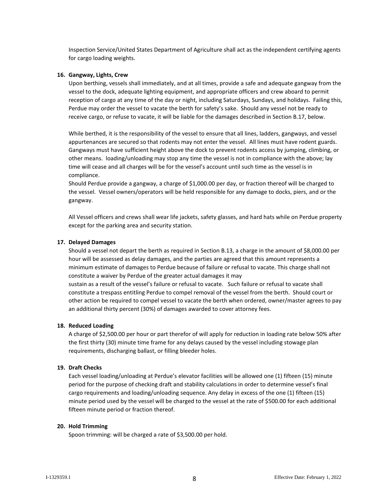Inspection Service/United States Department of Agriculture shall act as the independent certifying agents for cargo loading weights.

#### **16. Gangway, Lights, Crew**

Upon berthing, vessels shall immediately, and at all times, provide a safe and adequate gangway from the vessel to the dock, adequate lighting equipment, and appropriate officers and crew aboard to permit reception of cargo at any time of the day or night, including Saturdays, Sundays, and holidays. Failing this, Perdue may order the vessel to vacate the berth for safety's sake. Should any vessel not be ready to receive cargo, or refuse to vacate, it will be liable for the damages described in Section B.17, below.

While berthed, it is the responsibility of the vessel to ensure that all lines, ladders, gangways, and vessel appurtenances are secured so that rodents may not enter the vessel. All lines must have rodent guards. Gangways must have sufficient height above the dock to prevent rodents access by jumping, climbing, or other means. loading/unloading may stop any time the vessel is not in compliance with the above; lay time will cease and all charges will be for the vessel's account until such time as the vessel is in compliance.

Should Perdue provide a gangway, a charge of \$1,000.00 per day, or fraction thereof will be charged to the vessel. Vessel owners/operators will be held responsible for any damage to docks, piers, and or the gangway.

All Vessel officers and crews shall wear life jackets, safety glasses, and hard hats while on Perdue property except for the parking area and security station.

#### **17. Delayed Damages**

Should a vessel not depart the berth as required in Section B.13, a charge in the amount of \$8,000.00 per hour will be assessed as delay damages, and the parties are agreed that this amount represents a minimum estimate of damages to Perdue because of failure or refusal to vacate. This charge shall not constitute a waiver by Perdue of the greater actual damages it may sustain as a result of the vessel's failure or refusal to vacate. Such failure or refusal to vacate shall constitute a trespass entitling Perdue to compel removal of the vessel from the berth. Should court or other action be required to compel vessel to vacate the berth when ordered, owner/master agrees to pay an additional thirty percent (30%) of damages awarded to cover attorney fees.

#### **18. Reduced Loading**

A charge of \$2,500.00 per hour or part therefor of will apply for reduction in loading rate below 50% after the first thirty (30) minute time frame for any delays caused by the vessel including stowage plan requirements, discharging ballast, or filling bleeder holes.

## **19. Draft Checks**

Each vessel loading/unloading at Perdue's elevator facilities will be allowed one (1) fifteen (15) minute period for the purpose of checking draft and stability calculations in order to determine vessel's final cargo requirements and loading/unloading sequence. Any delay in excess of the one (1) fifteen (15) minute period used by the vessel will be charged to the vessel at the rate of \$500.00 for each additional fifteen minute period or fraction thereof.

#### **20. Hold Trimming**

Spoon trimming: will be charged a rate of \$3,500.00 per hold.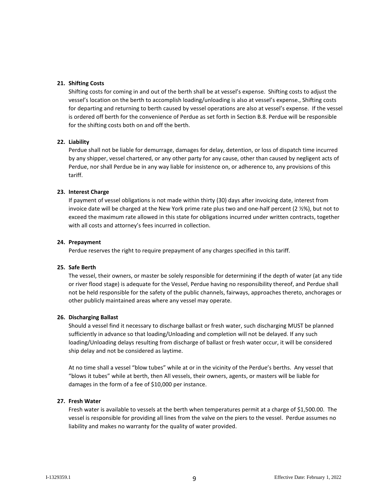## **21. Shifting Costs**

Shifting costs for coming in and out of the berth shall be at vessel's expense. Shifting costs to adjust the vessel's location on the berth to accomplish loading/unloading is also at vessel's expense., Shifting costs for departing and returning to berth caused by vessel operations are also at vessel's expense. If the vessel is ordered off berth for the convenience of Perdue as set forth in Section B.8. Perdue will be responsible for the shifting costs both on and off the berth.

## **22. Liability**

Perdue shall not be liable for demurrage, damages for delay, detention, or loss of dispatch time incurred by any shipper, vessel chartered, or any other party for any cause, other than caused by negligent acts of Perdue, nor shall Perdue be in any way liable for insistence on, or adherence to, any provisions of this tariff.

## **23. Interest Charge**

If payment of vessel obligations is not made within thirty (30) days after invoicing date, interest from invoice date will be charged at the New York prime rate plus two and one-half percent (2 ½%), but not to exceed the maximum rate allowed in this state for obligations incurred under written contracts, together with all costs and attorney's fees incurred in collection.

## **24. Prepayment**

Perdue reserves the right to require prepayment of any charges specified in this tariff.

## **25. Safe Berth**

The vessel, their owners, or master be solely responsible for determining if the depth of water (at any tide or river flood stage) is adequate for the Vessel, Perdue having no responsibility thereof, and Perdue shall not be held responsible for the safety of the public channels, fairways, approaches thereto, anchorages or other publicly maintained areas where any vessel may operate.

# **26. Discharging Ballast**

Should a vessel find it necessary to discharge ballast or fresh water, such discharging MUST be planned sufficiently in advance so that loading/Unloading and completion will not be delayed. If any such loading/Unloading delays resulting from discharge of ballast or fresh water occur, it will be considered ship delay and not be considered as laytime.

At no time shall a vessel "blow tubes" while at or in the vicinity of the Perdue's berths. Any vessel that "blows it tubes" while at berth, then All vessels, their owners, agents, or masters will be liable for damages in the form of a fee of \$10,000 per instance.

## **27. Fresh Water**

Fresh water is available to vessels at the berth when temperatures permit at a charge of \$1,500.00. The vessel is responsible for providing all lines from the valve on the piers to the vessel. Perdue assumes no liability and makes no warranty for the quality of water provided.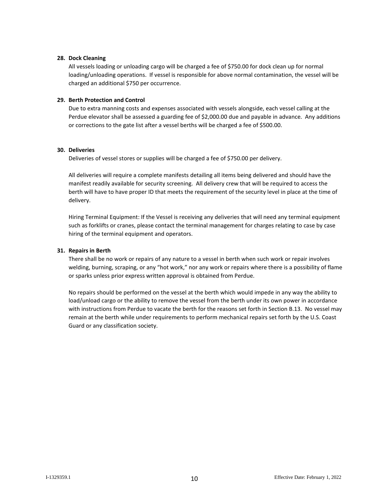## **28. Dock Cleaning**

All vessels loading or unloading cargo will be charged a fee of \$750.00 for dock clean up for normal loading/unloading operations. If vessel is responsible for above normal contamination, the vessel will be charged an additional \$750 per occurrence.

#### **29. Berth Protection and Control**

Due to extra manning costs and expenses associated with vessels alongside, each vessel calling at the Perdue elevator shall be assessed a guarding fee of \$2,000.00 due and payable in advance. Any additions or corrections to the gate list after a vessel berths will be charged a fee of \$500.00.

#### **30. Deliveries**

Deliveries of vessel stores or supplies will be charged a fee of \$750.00 per delivery.

All deliveries will require a complete manifests detailing all items being delivered and should have the manifest readily available for security screening. All delivery crew that will be required to access the berth will have to have proper ID that meets the requirement of the security level in place at the time of delivery.

Hiring Terminal Equipment: If the Vessel is receiving any deliveries that will need any terminal equipment such as forklifts or cranes, please contact the terminal management for charges relating to case by case hiring of the terminal equipment and operators.

#### **31. Repairs in Berth**

There shall be no work or repairs of any nature to a vessel in berth when such work or repair involves welding, burning, scraping, or any "hot work," nor any work or repairs where there is a possibility of flame or sparks unless prior express written approval is obtained from Perdue.

No repairs should be performed on the vessel at the berth which would impede in any way the ability to load/unload cargo or the ability to remove the vessel from the berth under its own power in accordance with instructions from Perdue to vacate the berth for the reasons set forth in Section B.13. No vessel may remain at the berth while under requirements to perform mechanical repairs set forth by the U.S. Coast Guard or any classification society.